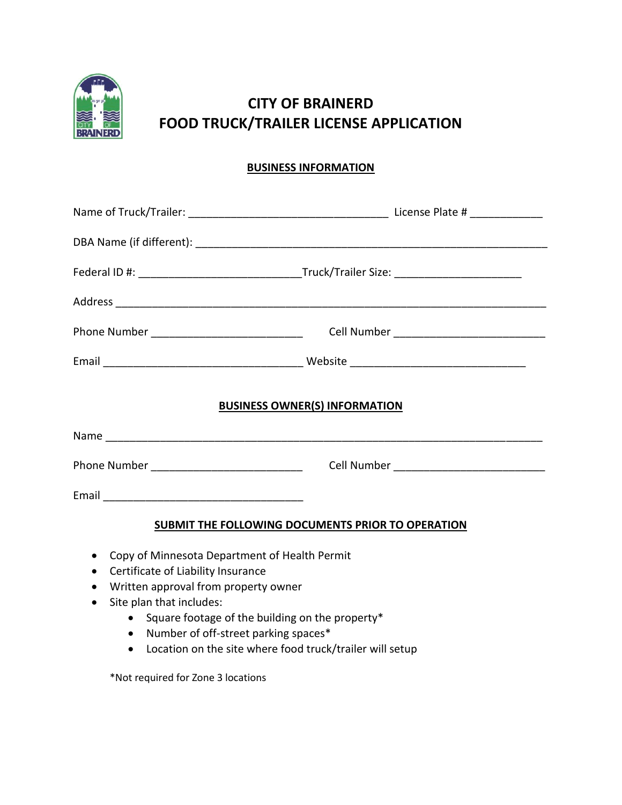

## **CITY OF BRAINERD FOOD TRUCK/TRAILER LICENSE APPLICATION**

## **BUSINESS INFORMATION**

| Phone Number ________________________________     |                                      |  |  |  |
|---------------------------------------------------|--------------------------------------|--|--|--|
|                                                   |                                      |  |  |  |
|                                                   | <b>BUSINESS OWNER(S) INFORMATION</b> |  |  |  |
|                                                   |                                      |  |  |  |
| Phone Number ____________________________         |                                      |  |  |  |
|                                                   |                                      |  |  |  |
| SUBMIT THE FOLLOWING DOCUMENTS PRIOR TO OPERATION |                                      |  |  |  |

- Copy of Minnesota Department of Health Permit
- Certificate of Liability Insurance
- Written approval from property owner
- Site plan that includes:
	- Square footage of the building on the property\*
	- Number of off-street parking spaces\*
	- Location on the site where food truck/trailer will setup

\*Not required for Zone 3 locations